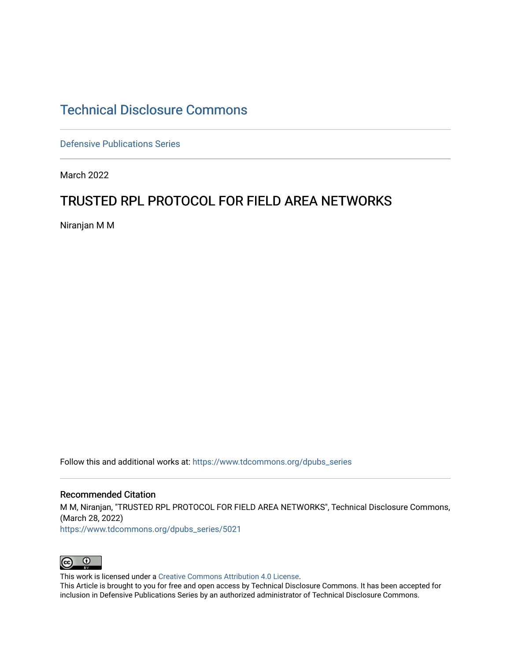# [Technical Disclosure Commons](https://www.tdcommons.org/)

[Defensive Publications Series](https://www.tdcommons.org/dpubs_series)

March 2022

## TRUSTED RPL PROTOCOL FOR FIELD AREA NETWORKS

Niranjan M M

Follow this and additional works at: [https://www.tdcommons.org/dpubs\\_series](https://www.tdcommons.org/dpubs_series?utm_source=www.tdcommons.org%2Fdpubs_series%2F5021&utm_medium=PDF&utm_campaign=PDFCoverPages) 

### Recommended Citation

M M, Niranjan, "TRUSTED RPL PROTOCOL FOR FIELD AREA NETWORKS", Technical Disclosure Commons, (March 28, 2022)

[https://www.tdcommons.org/dpubs\\_series/5021](https://www.tdcommons.org/dpubs_series/5021?utm_source=www.tdcommons.org%2Fdpubs_series%2F5021&utm_medium=PDF&utm_campaign=PDFCoverPages)



This work is licensed under a [Creative Commons Attribution 4.0 License](http://creativecommons.org/licenses/by/4.0/deed.en_US).

This Article is brought to you for free and open access by Technical Disclosure Commons. It has been accepted for inclusion in Defensive Publications Series by an authorized administrator of Technical Disclosure Commons.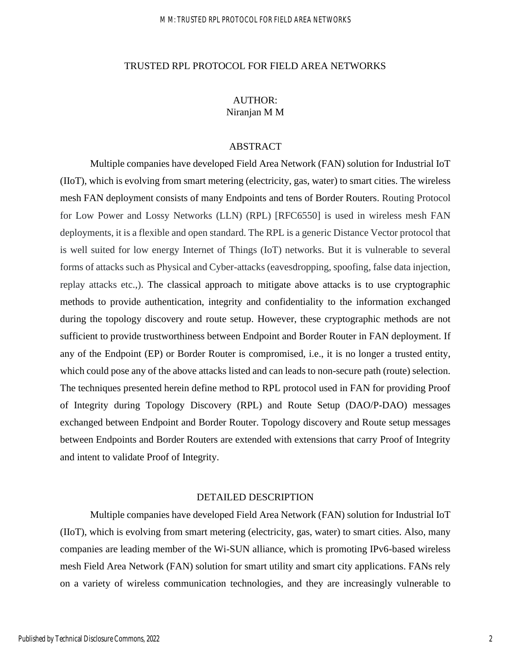### M M: TRUSTED RPL PROTOCOL FOR FIELD AREA NETWORKS

### TRUSTED RPL PROTOCOL FOR FIELD AREA NETWORKS

## AUTHOR: Niranjan M M

## ABSTRACT

Multiple companies have developed Field Area Network (FAN) solution for Industrial IoT (IIoT), which is evolving from smart metering (electricity, gas, water) to smart cities. The wireless mesh FAN deployment consists of many Endpoints and tens of Border Routers. Routing Protocol for Low Power and Lossy Networks (LLN) (RPL) [RFC6550] is used in wireless mesh FAN deployments, it is a flexible and open standard. The RPL is a generic Distance Vector protocol that is well suited for low energy Internet of Things (IoT) networks. But it is vulnerable to several forms of attacks such as Physical and Cyber-attacks (eavesdropping, spoofing, false data injection, replay attacks etc.,). The classical approach to mitigate above attacks is to use cryptographic methods to provide authentication, integrity and confidentiality to the information exchanged during the topology discovery and route setup. However, these cryptographic methods are not sufficient to provide trustworthiness between Endpoint and Border Router in FAN deployment. If any of the Endpoint (EP) or Border Router is compromised, i.e., it is no longer a trusted entity, which could pose any of the above attacks listed and can leads to non-secure path (route) selection. The techniques presented herein define method to RPL protocol used in FAN for providing Proof of Integrity during Topology Discovery (RPL) and Route Setup (DAO/P-DAO) messages exchanged between Endpoint and Border Router. Topology discovery and Route setup messages between Endpoints and Border Routers are extended with extensions that carry Proof of Integrity and intent to validate Proof of Integrity.

## DETAILED DESCRIPTION

Multiple companies have developed Field Area Network (FAN) solution for Industrial IoT (IIoT), which is evolving from smart metering (electricity, gas, water) to smart cities. Also, many companies are leading member of the Wi-SUN alliance, which is promoting IPv6-based wireless mesh Field Area Network (FAN) solution for smart utility and smart city applications. FANs rely on a variety of wireless communication technologies, and they are increasingly vulnerable to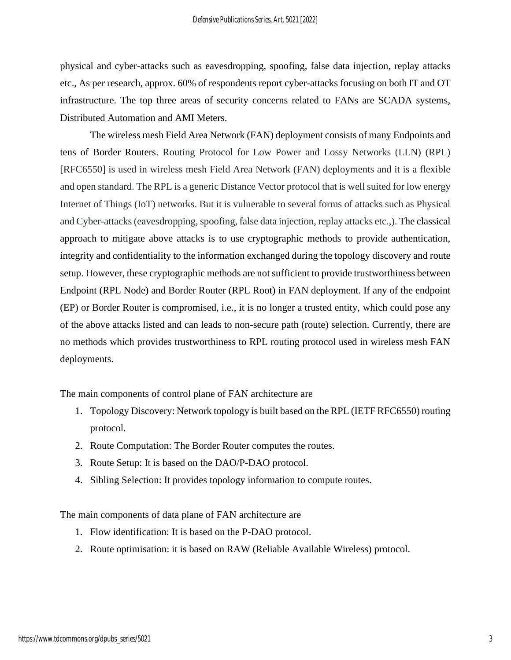physical and cyber-attacks such as eavesdropping, spoofing, false data injection, replay attacks etc., As per research, approx. 60% of respondents report cyber-attacks focusing on both IT and OT infrastructure. The top three areas of security concerns related to FANs are SCADA systems, Distributed Automation and AMI Meters.

The wireless mesh Field Area Network (FAN) deployment consists of many Endpoints and tens of Border Routers. Routing Protocol for Low Power and Lossy Networks (LLN) (RPL) [RFC6550] is used in wireless mesh Field Area Network (FAN) deployments and it is a flexible and open standard. The RPL is a generic Distance Vector protocol that is well suited for low energy Internet of Things (IoT) networks. But it is vulnerable to several forms of attacks such as Physical and Cyber-attacks (eavesdropping, spoofing, false data injection, replay attacks etc.,). The classical approach to mitigate above attacks is to use cryptographic methods to provide authentication, integrity and confidentiality to the information exchanged during the topology discovery and route setup. However, these cryptographic methods are not sufficient to provide trustworthiness between Endpoint (RPL Node) and Border Router (RPL Root) in FAN deployment. If any of the endpoint (EP) or Border Router is compromised, i.e., it is no longer a trusted entity, which could pose any of the above attacks listed and can leads to non-secure path (route) selection. Currently, there are no methods which provides trustworthiness to RPL routing protocol used in wireless mesh FAN deployments.

The main components of control plane of FAN architecture are

- 1. Topology Discovery: Network topology is built based on the RPL (IETF RFC6550) routing protocol.
- 2. Route Computation: The Border Router computes the routes.
- 3. Route Setup: It is based on the DAO/P-DAO protocol.
- 4. Sibling Selection: It provides topology information to compute routes.

The main components of data plane of FAN architecture are

- 1. Flow identification: It is based on the P-DAO protocol.
- 2. Route optimisation: it is based on RAW (Reliable Available Wireless) protocol.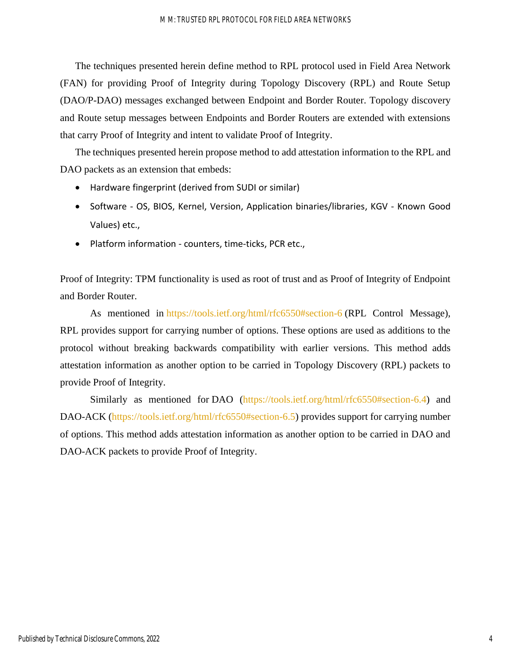The techniques presented herein define method to RPL protocol used in Field Area Network (FAN) for providing Proof of Integrity during Topology Discovery (RPL) and Route Setup (DAO/P-DAO) messages exchanged between Endpoint and Border Router. Topology discovery and Route setup messages between Endpoints and Border Routers are extended with extensions that carry Proof of Integrity and intent to validate Proof of Integrity.

The techniques presented herein propose method to add attestation information to the RPL and DAO packets as an extension that embeds:

- Hardware fingerprint (derived from SUDI or similar)
- Software OS, BIOS, Kernel, Version, Application binaries/libraries, KGV Known Good Values) etc.,
- Platform information counters, time-ticks, PCR etc.,

Proof of Integrity: TPM functionality is used as root of trust and as Proof of Integrity of Endpoint and Border Router.

As mentioned in <https://tools.ietf.org/html/rfc6550#section-6> (RPL Control Message), RPL provides support for carrying number of options. These options are used as additions to the protocol without breaking backwards compatibility with earlier versions. This method adds attestation information as another option to be carried in Topology Discovery (RPL) packets to provide Proof of Integrity.

Similarly as mentioned for DAO [\(https://tools.ietf.org/html/rfc6550#section-6.4\)](https://tools.ietf.org/html/rfc6550#section-6.4) and DAO-ACK [\(https://tools.ietf.org/html/rfc6550#section-6.5\)](https://tools.ietf.org/html/rfc6550#section-6.5) provides support for carrying number of options. This method adds attestation information as another option to be carried in DAO and DAO-ACK packets to provide Proof of Integrity.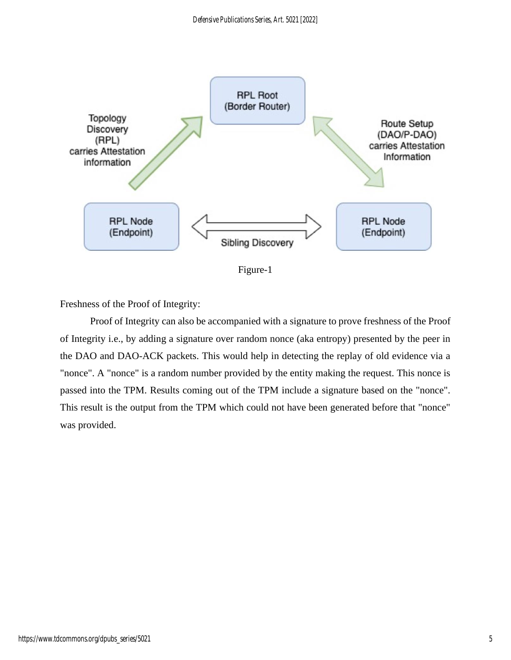

Figure-1

Freshness of the Proof of Integrity:

Proof of Integrity can also be accompanied with a signature to prove freshness of the Proof of Integrity i.e., by adding a signature over random nonce (aka entropy) presented by the peer in the DAO and DAO-ACK packets. This would help in detecting the replay of old evidence via a "nonce". A "nonce" is a random number provided by the entity making the request. This nonce is passed into the TPM. Results coming out of the TPM include a signature based on the "nonce". This result is the output from the TPM which could not have been generated before that "nonce" was provided.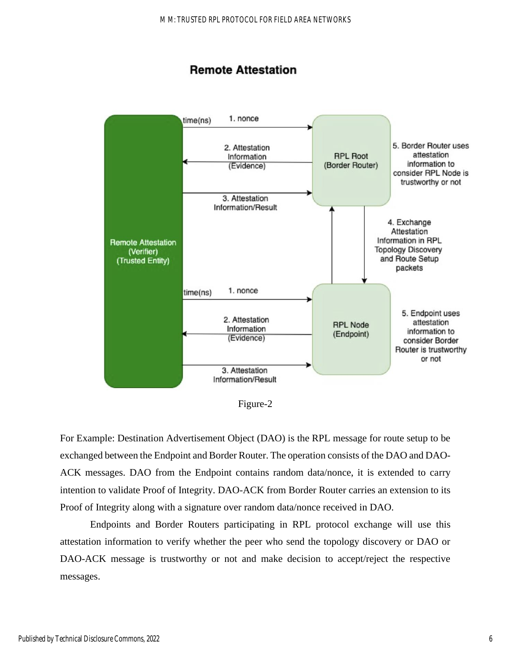## **Remote Attestation**



Figure-2

For Example: Destination Advertisement Object (DAO) is the RPL message for route setup to be exchanged between the Endpoint and Border Router. The operation consists of the DAO and DAO-ACK messages. DAO from the Endpoint contains random data/nonce, it is extended to carry intention to validate Proof of Integrity. DAO-ACK from Border Router carries an extension to its Proof of Integrity along with a signature over random data/nonce received in DAO.

Endpoints and Border Routers participating in RPL protocol exchange will use this attestation information to verify whether the peer who send the topology discovery or DAO or DAO-ACK message is trustworthy or not and make decision to accept/reject the respective messages.